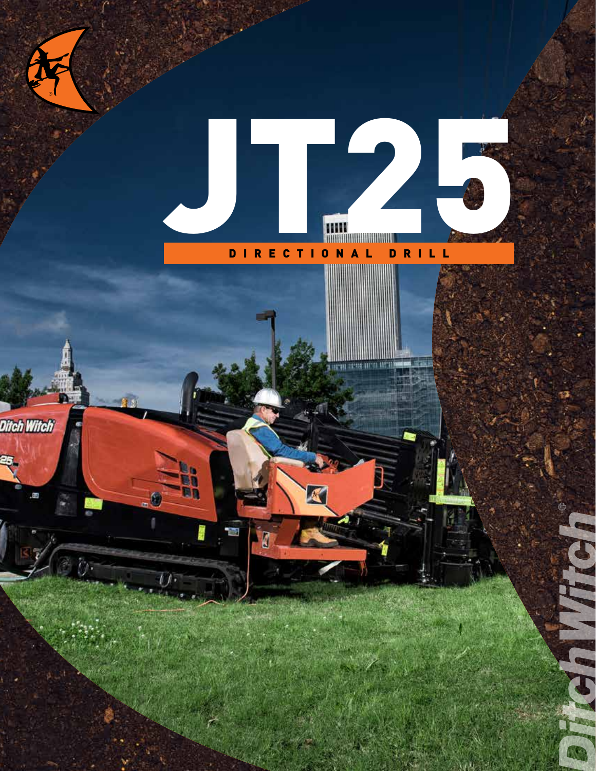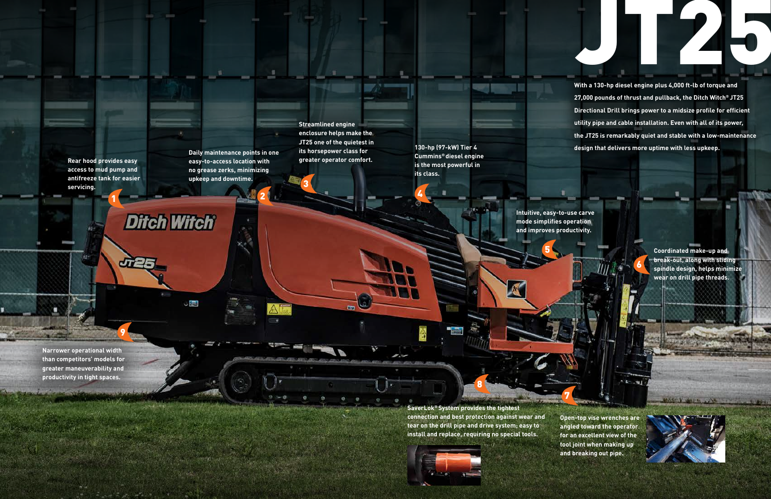JT25

**Daily maintenance points in one easy-to-access location with no grease zerks, minimizing upkeep and downtime.** 

**Rear hood provides easy access to mud pump and antifreeze tank for easier servicing.**

194

**Open-top vise wrenches are angled toward the operator for an excellent view of the tool joint when making up and breaking out pipe.**

**SaverLok® System provides the tightest connection and best protection against wear and tear on the drill pipe and drive system; easy to install and replace, requiring no special tools.**

**Streamlined engine enclosure helps make the JT25 one of the quietest in its horsepower class for greater operator comfort.** 

**130-hp (97-kW) Tier 4 Cummins® diesel engine is the most powerful in its class.**

> **Intuitive, easy-to-use carve mode simplifies operation and improves productivity.**

**Narrower operational width than competitors' models for greater maneuverability and productivity in tight spaces.**

**Coordinated make-up and break-out, along with sliding spindle design, helps minimize wear on drill pipe threads.**

MASKY WIEN AND TO

**With a 130-hp diesel engine plus 4,000 ft-lb of torque and 27,000 pounds of thrust and pullback, the Ditch Witch® JT25 Directional Drill brings power to a midsize profile for efficient utility pipe and cable installation. Even with all of its power, the JT25 is remarkably quiet and stable with a low-maintenance design that delivers more uptime with less upkeep.** 

1

**Ditch Witch**®

 $\cup$ 

3

4

7

6

**MACHINE** 

2

8



9

5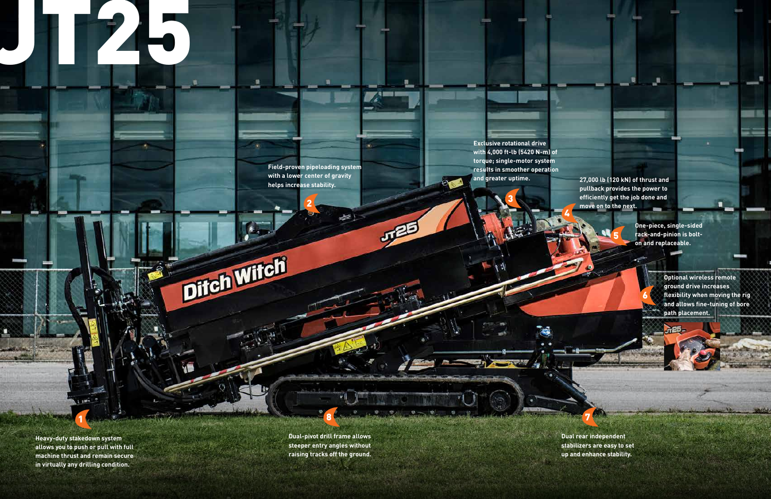**Exclusive rotational drive with 4,000 ft-lb (5420 N-m) of torque; single-motor system results in smoother operation and greater uptime.**

**Field-proven pipeloading system with a lower center of gravity helps increase stability.** 

推

JT25

量

Ditch Wifch

**Heavy-duty stakedown system allows you to push or pull with full machine thrust and remain secure in virtually any drilling condition.**

**Dual-pivot drill frame allows steeper entry angles without raising tracks off the ground.**  **Dual rear independent stabilizers are easy to set up and enhance stability.**

**One-piece, single-sided rack-and-pinion is bolton and replaceable.**

J.

# JT25

**Optional wireless remote ground drive increases flexibility when moving the rig and allows fine-tuning of bore path placement.**

**27,000 lb (120 kN) of thrust and pullback provides the power to efficiently get the job done and move on to the next.**

1

3

5

7

6

2

 $\equiv 1$ 

8

4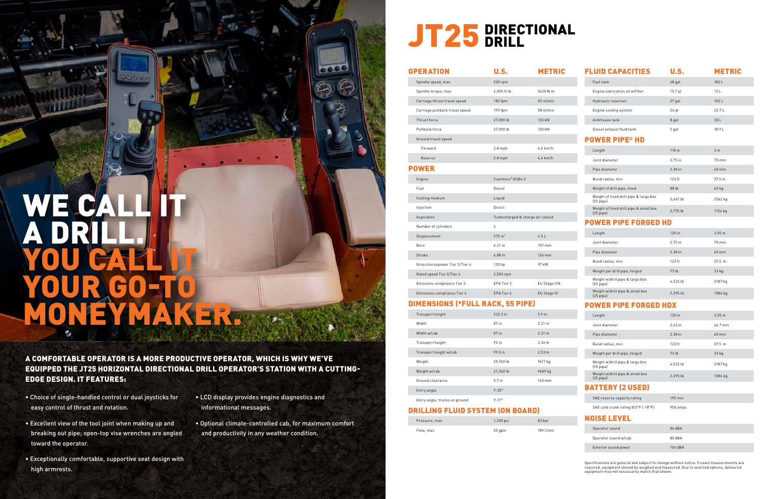A COMFORTABLE OPERATOR IS A MORE PRODUCTIVE OPERATOR, WHICH IS WHY WE'VE EQUIPPED THE JT25 HORIZONTAL DIRECTIONAL DRILL OPERATOR'S STATION WITH A CUTTING-EDGE DESIGN. IT FEATURES:

## WE CALL IT A DRILL. YOU CALL LE YOUR GO-TO MONEYMAKER.

ശരമ

- Choice of single-handled control or dual joysticks for easy control of thrust and rotation.
- Excellent view of the tool joint when making up and breaking out pipe; open-top vise wrenches are angled toward the operator.
- Exceptionally comfortable, supportive seat design with high armrests.
- LCD display provides engine diagnostics and informational messages.
- Optional climate-controlled cab, for maximum comfort and productivity in any weather condition.

## JT25 DIRECTIONAL

| <b>FLUID CAPACITIES</b>                                  | U.S.     | <b>METRIC</b>     |
|----------------------------------------------------------|----------|-------------------|
| Fuel tank                                                | 48 gal   | 182 L             |
| Engine lubrication oil w/filter                          | 13.7 qt  | 13L               |
| Hydraulic reservoir                                      | 27 gal   | 102L              |
| Engine cooling system                                    | $24$ qt  | $22.7+$           |
| Antifreeze tank                                          | 8 gal    | 30 L              |
| Diesel exhaust fluid tank                                | 5 gal    | 18.9 L            |
| POWER PIPE® HD                                           |          |                   |
| Length                                                   | 118 in   | 3 <sub>m</sub>    |
| Joint diameter                                           | 2.75 in  | 70 mm             |
| Pipe diameter                                            | 2.38 in  | 60 mm             |
| Bend radius, min                                         | 123 ft   | 37.5 m            |
| Weight of drill pipe, lined                              | 88 lb    | 40 kg             |
| Weight of lined drill pipe & large box<br>$(55$ pipe $)$ | 5,647 lb | 2562 kg           |
| Weight of lined drill pipe & small box<br>$(25$ pipe $)$ | 2,770 lb | 1154 kg           |
| OWER PIPE FORGED HD                                      |          |                   |
| Length                                                   | $120$ in | 3.05 <sub>m</sub> |
| Joint diameter                                           | 2.75 in  | 70 mm             |
| Pipe diameter                                            | 2.38 in  | 60 mm             |
| Bend radius, min                                         | 123 ft   | 37.5 m            |
| Weight per drill pipe, forged                            | 73 lb    | 33 kg             |
| Weight w/drill pipe & large box<br>$(55$ pipe $)$        | 4,522 lb | 2187 kg           |
| Weight w/drill pipe & small box<br>$(25$ pipe $)$        | 2,395 lb | 1086 kg           |
| <b>OWER PIPE FORGED HDX</b>                              |          |                   |
| Length                                                   | 120 in   | 3.05 <sub>m</sub> |
| Joint diameter                                           | 2.63 in  | 66.7 mm           |
| Pipe diameter                                            | 2.38 in  | 60 mm             |
| Bend radius, min                                         | 123 ft   | 37.5 m            |
| Weight per drill pipe, forged                            | 73 lb    | 33 kg             |
| Weight w/drill pipe & large box<br>$(55$ pipe $)$        | 4,522 lb | 2187 kg           |
| Weight w/drill pipe & small box<br>(25 pipe)             | 2,395 lb | 1086 kg           |
|                                                          |          |                   |

#### BATTERY (2 USED)

| SAE reserve capacity rating         | $195 \text{ min}$ |
|-------------------------------------|-------------------|
| SAE cold crank rating @ 0°F (-18°F) | 950 amps          |

#### NOISE LEVEL

| Operator sound       | 86 dBA  |
|----------------------|---------|
| Operator sound w/cab | 80 dBA  |
| Exterior sound power | 104 dBA |

Specifications are general and subject to change without notice. If exact measurements are required, equipment should be weighed and measured. Due to selected options, delivered equipment may not necessarily match that shown.

| <b>OPERATION</b>                       | <b>U.S.</b>           | <b>METRIC</b>                    |  |
|----------------------------------------|-----------------------|----------------------------------|--|
| Spindle speed, max                     | 220 rpm               |                                  |  |
| Spindle torque, max                    | 4,000 ft-lb           | 5420 N·m                         |  |
| Carriage thrust travel speed           | 182 fpm               | 55 m/min                         |  |
| Carriage pullback travel speed         | 190 fpm               | 58 m/min                         |  |
| Thrust force                           | 27,000 lb             | 120 kN                           |  |
| Pullback force                         | 27,000 lb             | 120 kN                           |  |
| Ground travel speed                    |                       |                                  |  |
| Forward                                | $2.8$ mph             | 4.6 km/h                         |  |
| Reverse                                | $2.8$ mph             | 4.6 km/h                         |  |
| <b>POWER</b>                           |                       |                                  |  |
| Engine                                 | Cummins® QSB4.5       |                                  |  |
| Fuel                                   | Diesel                |                                  |  |
| Cooling medium                         | Liquid                |                                  |  |
| Injection                              | Direct                |                                  |  |
| Aspiration                             |                       | Turbocharged & charge air cooled |  |
| Number of cylinders                    | 4                     |                                  |  |
| Displacement                           | $275$ in <sup>3</sup> | 4.5L                             |  |
| Bore                                   | 4.21 in               | $107 \text{ mm}$                 |  |
| Stroke                                 | 4.88 in               | 124 mm                           |  |
| Gross horsepower Tier 3/Tier 4         | 130 hp                | 97 kW                            |  |
| Rated speed Tier 3/Tier 4              | 2,500 rpm             |                                  |  |
| Emissons compliance Tier 3             | EPA Tier 3            | EU Stage IIIA                    |  |
| Emissions compliance Tier 4            | EPA Tier 4            | EU Stage IV                      |  |
| <b>IMENSIONS (*FULL RACK, 55 PIPE)</b> |                       |                                  |  |
| Transport length                       | 232.5 in              | 5.9 <sub>m</sub>                 |  |
| Width                                  | 87 in                 | 2.21 m                           |  |
| Width w/cab                            | 87 in                 | 2.21 m                           |  |
| Transport height                       | 93 in                 | 2.36 m                           |  |

 $\mathbf{M}$ 

| Transport height              | 93 in            | 2.36 m           |
|-------------------------------|------------------|------------------|
| Transport height w/cab        | 99.5 in          | 2.53 m           |
| Weight                        | 20,760 lb        | 9417 kg          |
| Weight w/cab                  | 21,360 lb        | 9689 kg          |
| Ground clearance              | 5.7 in           | $145 \text{ mm}$ |
| Entry angle                   | $9 - 20^{\circ}$ |                  |
| Entry angle, tracks on ground | $9 - 17°$        |                  |

#### DRILLING FLUID SYSTEM (ON BOARD)

| Pressure, max | 1,200 psi | 83 bar    |
|---------------|-----------|-----------|
| Flow, max     | 50 qpm    | 189 l/min |